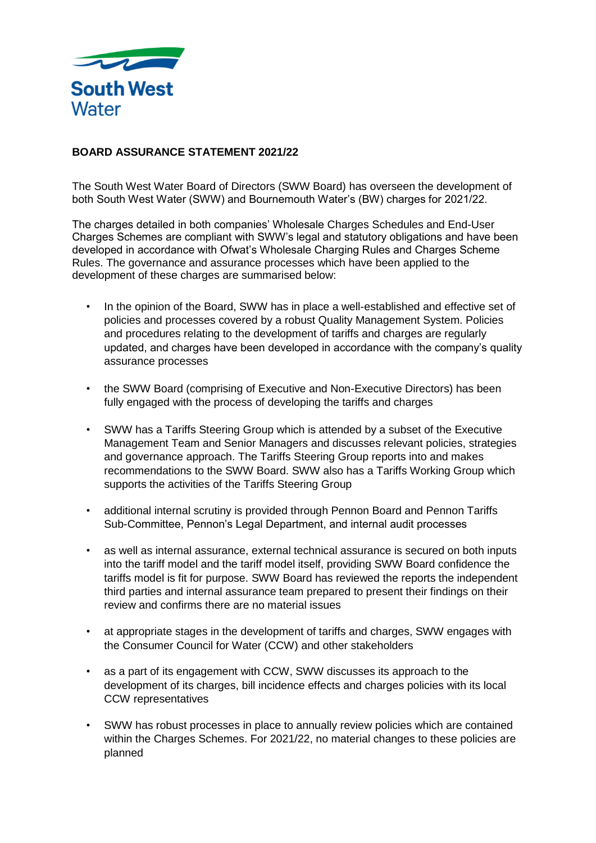

## **BOARD ASSURANCE STATEMENT 2021/22**

The South West Water Board of Directors (SWW Board) has overseen the development of both South West Water (SWW) and Bournemouth Water's (BW) charges for 2021/22.

The charges detailed in both companies' Wholesale Charges Schedules and End-User Charges Schemes are compliant with SWW's legal and statutory obligations and have been developed in accordance with Ofwat's Wholesale Charging Rules and Charges Scheme Rules. The governance and assurance processes which have been applied to the development of these charges are summarised below:

- In the opinion of the Board, SWW has in place a well-established and effective set of policies and processes covered by a robust Quality Management System. Policies and procedures relating to the development of tariffs and charges are regularly updated, and charges have been developed in accordance with the company's quality assurance processes
- the SWW Board (comprising of Executive and Non-Executive Directors) has been fully engaged with the process of developing the tariffs and charges
- SWW has a Tariffs Steering Group which is attended by a subset of the Executive Management Team and Senior Managers and discusses relevant policies, strategies and governance approach. The Tariffs Steering Group reports into and makes recommendations to the SWW Board. SWW also has a Tariffs Working Group which supports the activities of the Tariffs Steering Group
- additional internal scrutiny is provided through Pennon Board and Pennon Tariffs Sub-Committee, Pennon's Legal Department, and internal audit processes
- as well as internal assurance, external technical assurance is secured on both inputs into the tariff model and the tariff model itself, providing SWW Board confidence the tariffs model is fit for purpose. SWW Board has reviewed the reports the independent third parties and internal assurance team prepared to present their findings on their review and confirms there are no material issues
- at appropriate stages in the development of tariffs and charges, SWW engages with the Consumer Council for Water (CCW) and other stakeholders
- as a part of its engagement with CCW, SWW discusses its approach to the development of its charges, bill incidence effects and charges policies with its local CCW representatives
- SWW has robust processes in place to annually review policies which are contained within the Charges Schemes. For 2021/22, no material changes to these policies are planned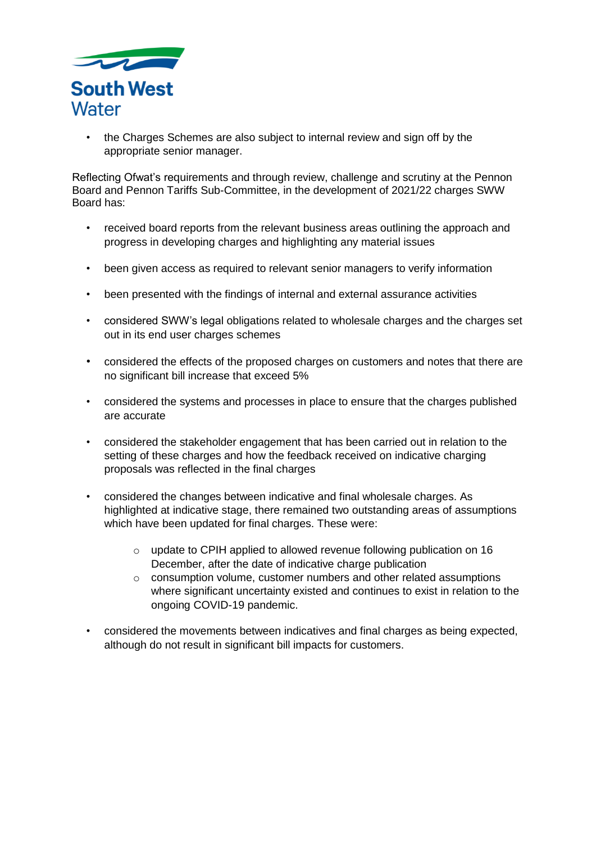

the Charges Schemes are also subject to internal review and sign off by the appropriate senior manager.

Reflecting Ofwat's requirements and through review, challenge and scrutiny at the Pennon Board and Pennon Tariffs Sub-Committee, in the development of 2021/22 charges SWW Board has:

- received board reports from the relevant business areas outlining the approach and progress in developing charges and highlighting any material issues
- been given access as required to relevant senior managers to verify information
- been presented with the findings of internal and external assurance activities
- considered SWW's legal obligations related to wholesale charges and the charges set out in its end user charges schemes
- considered the effects of the proposed charges on customers and notes that there are no significant bill increase that exceed 5%
- considered the systems and processes in place to ensure that the charges published are accurate
- considered the stakeholder engagement that has been carried out in relation to the setting of these charges and how the feedback received on indicative charging proposals was reflected in the final charges
- considered the changes between indicative and final wholesale charges. As highlighted at indicative stage, there remained two outstanding areas of assumptions which have been updated for final charges. These were:
	- $\circ$  update to CPIH applied to allowed revenue following publication on 16 December, after the date of indicative charge publication
	- o consumption volume, customer numbers and other related assumptions where significant uncertainty existed and continues to exist in relation to the ongoing COVID-19 pandemic.
- considered the movements between indicatives and final charges as being expected, although do not result in significant bill impacts for customers.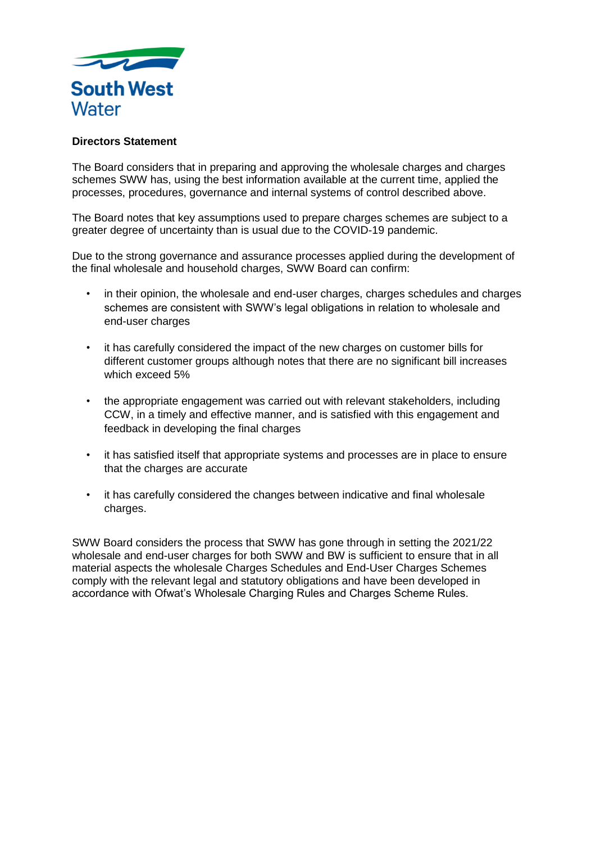

## **Directors Statement**

The Board considers that in preparing and approving the wholesale charges and charges schemes SWW has, using the best information available at the current time, applied the processes, procedures, governance and internal systems of control described above.

The Board notes that key assumptions used to prepare charges schemes are subject to a greater degree of uncertainty than is usual due to the COVID-19 pandemic.

Due to the strong governance and assurance processes applied during the development of the final wholesale and household charges, SWW Board can confirm:

- in their opinion, the wholesale and end-user charges, charges schedules and charges schemes are consistent with SWW's legal obligations in relation to wholesale and end-user charges
- it has carefully considered the impact of the new charges on customer bills for different customer groups although notes that there are no significant bill increases which exceed 5%
- the appropriate engagement was carried out with relevant stakeholders, including CCW, in a timely and effective manner, and is satisfied with this engagement and feedback in developing the final charges
- it has satisfied itself that appropriate systems and processes are in place to ensure that the charges are accurate
- it has carefully considered the changes between indicative and final wholesale charges.

SWW Board considers the process that SWW has gone through in setting the 2021/22 wholesale and end-user charges for both SWW and BW is sufficient to ensure that in all material aspects the wholesale Charges Schedules and End-User Charges Schemes comply with the relevant legal and statutory obligations and have been developed in accordance with Ofwat's Wholesale Charging Rules and Charges Scheme Rules.